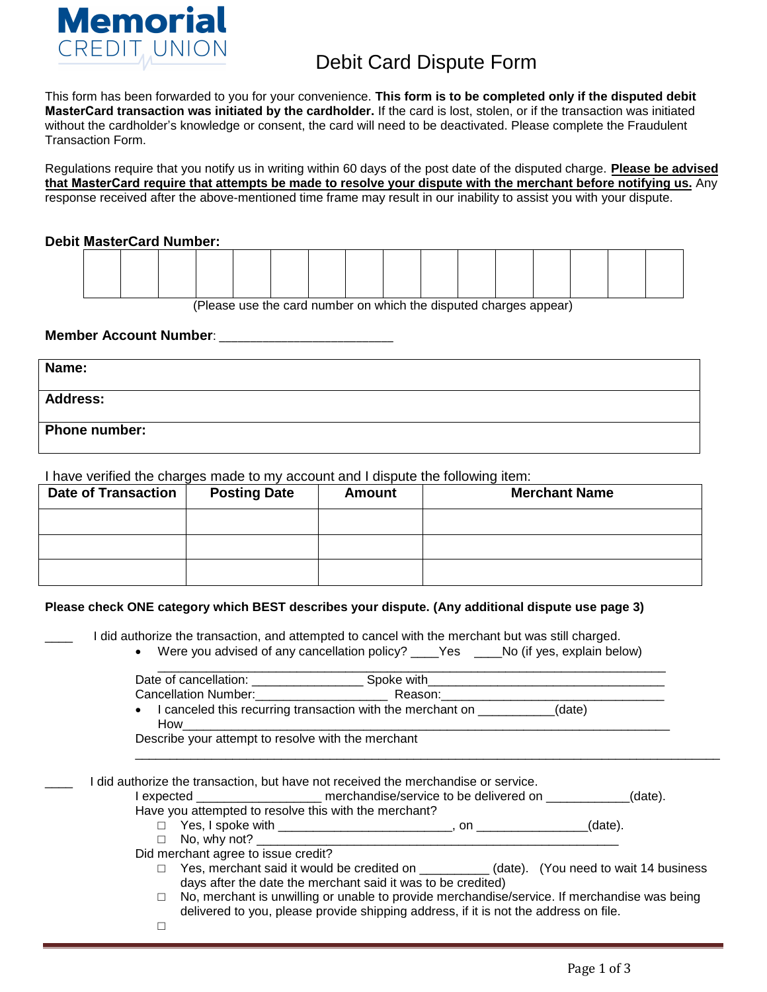

This form has been forwarded to you for your convenience. **This form is to be completed only if the disputed debit MasterCard transaction was initiated by the cardholder.** If the card is lost, stolen, or if the transaction was initiated without the cardholder's knowledge or consent, the card will need to be deactivated. Please complete the Fraudulent Transaction Form.

Regulations require that you notify us in writing within 60 days of the post date of the disputed charge. **Please be advised that MasterCard require that attempts be made to resolve your dispute with the merchant before notifying us.** Any response received after the above-mentioned time frame may result in our inability to assist you with your dispute.

## **Debit MasterCard Number:**

(Please use the card number on which the disputed charges appear)

## **Member Account Number: Member**:

| Name:           |  |
|-----------------|--|
| <b>Address:</b> |  |
| Phone number:   |  |

I have verified the charges made to my account and I dispute the following item:

| <b>Date of Transaction</b> | <b>Posting Date</b> | <b>Amount</b> | <b>Merchant Name</b> |
|----------------------------|---------------------|---------------|----------------------|
|                            |                     |               |                      |
|                            |                     |               |                      |
|                            |                     |               |                      |

#### **Please check ONE category which BEST describes your dispute. (Any additional dispute use page 3)**

I did authorize the transaction, and attempted to cancel with the merchant but was still charged.

• Were you advised of any cancellation policy? \_\_\_\_Yes \_\_\_\_No (if yes, explain below)

| Date of cancellation:                                                   | Spoke with |        |
|-------------------------------------------------------------------------|------------|--------|
| Cancellation Number:                                                    | Reason:    |        |
| I canceled this recurring transaction with the merchant on<br>$\bullet$ |            | (date) |
| How                                                                     |            |        |

Describe your attempt to resolve with the merchant

I did authorize the transaction, but have not received the merchandise or service.

I expected \_\_\_\_\_\_\_\_\_\_\_\_\_\_\_\_\_\_\_\_\_ merchandise/service to be delivered on  $(date).$ 

Have you attempted to resolve this with the merchant?

- □ Yes, I spoke with \_\_\_\_\_\_\_\_\_\_\_\_\_\_\_\_\_\_\_\_\_\_\_\_\_, on \_\_\_\_\_\_\_\_\_\_\_\_\_\_\_\_(date).
- □ No, why not? \_\_\_\_\_\_\_\_\_\_\_\_\_\_\_\_\_\_\_\_\_\_\_\_\_\_\_\_\_\_\_\_\_\_\_\_\_\_\_\_\_\_\_\_\_\_\_\_\_\_\_\_

Did merchant agree to issue credit?

□ Yes, merchant said it would be credited on \_\_\_\_\_\_\_\_\_\_ (date). (You need to wait 14 business days after the date the merchant said it was to be credited)

\_\_\_\_\_\_\_\_\_\_\_\_\_\_\_\_\_\_\_\_\_\_\_\_\_\_\_\_\_\_\_\_\_\_\_\_\_\_\_\_\_\_\_\_\_\_\_\_\_\_\_\_\_\_\_\_\_\_\_\_\_\_\_\_\_\_\_\_\_\_\_\_\_\_\_\_\_\_\_\_\_\_\_\_

- $\Box$  No, merchant is unwilling or unable to provide merchandise/service. If merchandise was being delivered to you, please provide shipping address, if it is not the address on file.
- □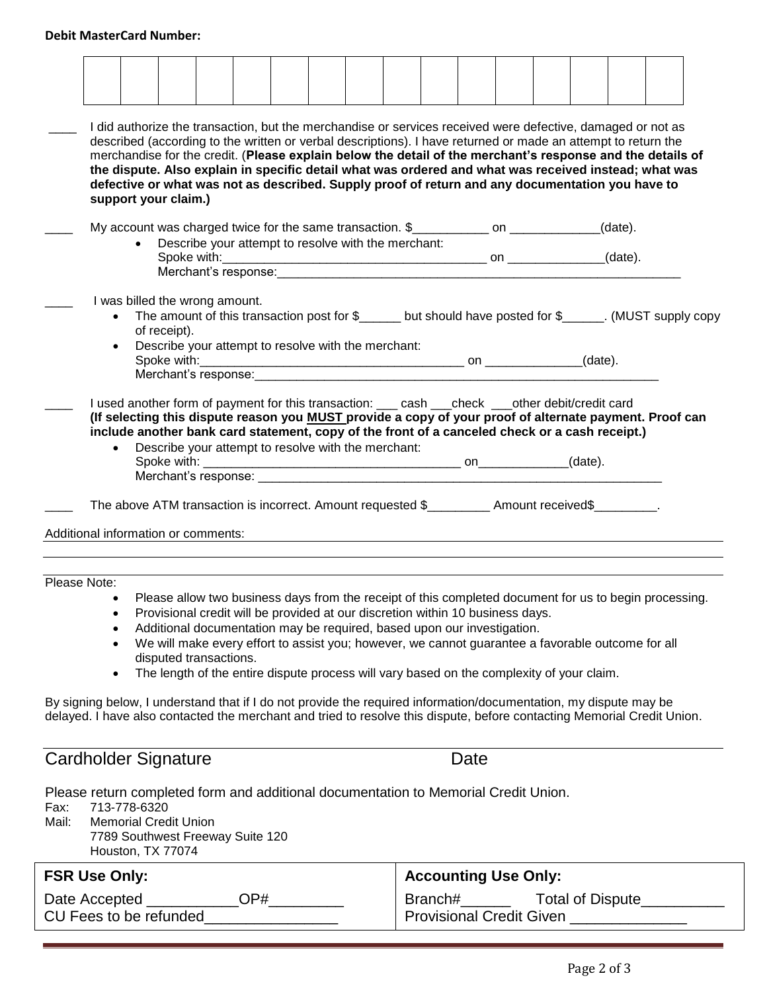# **Debit MasterCard Number:**

|                      |                                                                                                                   |  |                              | described (according to the written or verbal descriptions). I have returned or made an attempt to return the                                                                |  |  |  |                                    |  |      |                             |  |  |  | I did authorize the transaction, but the merchandise or services received were defective, damaged or not as             |  |
|----------------------|-------------------------------------------------------------------------------------------------------------------|--|------------------------------|------------------------------------------------------------------------------------------------------------------------------------------------------------------------------|--|--|--|------------------------------------|--|------|-----------------------------|--|--|--|-------------------------------------------------------------------------------------------------------------------------|--|
|                      |                                                                                                                   |  |                              |                                                                                                                                                                              |  |  |  |                                    |  |      |                             |  |  |  | merchandise for the credit. (Please explain below the detail of the merchant's response and the details of              |  |
|                      |                                                                                                                   |  |                              |                                                                                                                                                                              |  |  |  |                                    |  |      |                             |  |  |  | the dispute. Also explain in specific detail what was ordered and what was received instead; what was                   |  |
|                      |                                                                                                                   |  | support your claim.)         | defective or what was not as described. Supply proof of return and any documentation you have to                                                                             |  |  |  |                                    |  |      |                             |  |  |  |                                                                                                                         |  |
|                      |                                                                                                                   |  |                              |                                                                                                                                                                              |  |  |  |                                    |  |      |                             |  |  |  |                                                                                                                         |  |
|                      |                                                                                                                   |  |                              | My account was charged twice for the same transaction. \$____________ on ___________(date).                                                                                  |  |  |  |                                    |  |      |                             |  |  |  |                                                                                                                         |  |
|                      |                                                                                                                   |  |                              | Describe your attempt to resolve with the merchant:                                                                                                                          |  |  |  |                                    |  |      |                             |  |  |  |                                                                                                                         |  |
|                      |                                                                                                                   |  |                              | Merchant's response: Merchant's response:                                                                                                                                    |  |  |  |                                    |  |      |                             |  |  |  |                                                                                                                         |  |
|                      |                                                                                                                   |  |                              |                                                                                                                                                                              |  |  |  |                                    |  |      |                             |  |  |  |                                                                                                                         |  |
|                      |                                                                                                                   |  |                              | I was billed the wrong amount.                                                                                                                                               |  |  |  |                                    |  |      |                             |  |  |  |                                                                                                                         |  |
|                      |                                                                                                                   |  | of receipt).                 |                                                                                                                                                                              |  |  |  |                                    |  |      |                             |  |  |  | The amount of this transaction post for $\frac{1}{2}$ but should have posted for $\frac{1}{2}$ (MUST supply copy        |  |
|                      |                                                                                                                   |  |                              | Describe your attempt to resolve with the merchant:                                                                                                                          |  |  |  |                                    |  |      |                             |  |  |  |                                                                                                                         |  |
|                      |                                                                                                                   |  |                              |                                                                                                                                                                              |  |  |  |                                    |  |      |                             |  |  |  |                                                                                                                         |  |
|                      |                                                                                                                   |  |                              |                                                                                                                                                                              |  |  |  |                                    |  |      |                             |  |  |  |                                                                                                                         |  |
|                      |                                                                                                                   |  |                              | I used another form of payment for this transaction: ____ cash ___check ___other debit/credit card                                                                           |  |  |  |                                    |  |      |                             |  |  |  | (If selecting this dispute reason you MUST provide a copy of your proof of alternate payment. Proof can                 |  |
|                      |                                                                                                                   |  |                              | include another bank card statement, copy of the front of a canceled check or a cash receipt.)                                                                               |  |  |  |                                    |  |      |                             |  |  |  |                                                                                                                         |  |
|                      |                                                                                                                   |  |                              | Describe your attempt to resolve with the merchant:                                                                                                                          |  |  |  |                                    |  |      |                             |  |  |  |                                                                                                                         |  |
|                      |                                                                                                                   |  |                              |                                                                                                                                                                              |  |  |  |                                    |  |      |                             |  |  |  |                                                                                                                         |  |
|                      |                                                                                                                   |  |                              |                                                                                                                                                                              |  |  |  |                                    |  |      |                             |  |  |  |                                                                                                                         |  |
|                      |                                                                                                                   |  |                              | The above ATM transaction is incorrect. Amount requested \$__________ Amount received\$_________.                                                                            |  |  |  |                                    |  |      |                             |  |  |  |                                                                                                                         |  |
|                      |                                                                                                                   |  |                              |                                                                                                                                                                              |  |  |  |                                    |  |      |                             |  |  |  |                                                                                                                         |  |
|                      | Additional information or comments:                                                                               |  |                              |                                                                                                                                                                              |  |  |  |                                    |  |      |                             |  |  |  |                                                                                                                         |  |
|                      |                                                                                                                   |  |                              |                                                                                                                                                                              |  |  |  |                                    |  |      |                             |  |  |  |                                                                                                                         |  |
| Please Note:         |                                                                                                                   |  |                              |                                                                                                                                                                              |  |  |  |                                    |  |      |                             |  |  |  |                                                                                                                         |  |
|                      |                                                                                                                   |  |                              |                                                                                                                                                                              |  |  |  |                                    |  |      |                             |  |  |  | Please allow two business days from the receipt of this completed document for us to begin processing.                  |  |
|                      |                                                                                                                   |  |                              | Provisional credit will be provided at our discretion within 10 business days.                                                                                               |  |  |  |                                    |  |      |                             |  |  |  |                                                                                                                         |  |
|                      | ٠                                                                                                                 |  |                              | Additional documentation may be required, based upon our investigation.<br>We will make every effort to assist you; however, we cannot guarantee a favorable outcome for all |  |  |  |                                    |  |      |                             |  |  |  |                                                                                                                         |  |
|                      |                                                                                                                   |  |                              | disputed transactions.                                                                                                                                                       |  |  |  |                                    |  |      |                             |  |  |  |                                                                                                                         |  |
|                      | $\bullet$                                                                                                         |  |                              | The length of the entire dispute process will vary based on the complexity of your claim.                                                                                    |  |  |  |                                    |  |      |                             |  |  |  |                                                                                                                         |  |
|                      |                                                                                                                   |  |                              |                                                                                                                                                                              |  |  |  |                                    |  |      |                             |  |  |  |                                                                                                                         |  |
|                      | By signing below, I understand that if I do not provide the required information/documentation, my dispute may be |  |                              |                                                                                                                                                                              |  |  |  |                                    |  |      |                             |  |  |  | delayed. I have also contacted the merchant and tried to resolve this dispute, before contacting Memorial Credit Union. |  |
|                      |                                                                                                                   |  |                              |                                                                                                                                                                              |  |  |  |                                    |  |      |                             |  |  |  |                                                                                                                         |  |
|                      |                                                                                                                   |  |                              |                                                                                                                                                                              |  |  |  |                                    |  |      |                             |  |  |  |                                                                                                                         |  |
|                      | <b>Cardholder Signature</b>                                                                                       |  |                              |                                                                                                                                                                              |  |  |  |                                    |  | Date |                             |  |  |  |                                                                                                                         |  |
|                      | Please return completed form and additional documentation to Memorial Credit Union.                               |  |                              |                                                                                                                                                                              |  |  |  |                                    |  |      |                             |  |  |  |                                                                                                                         |  |
| Fax:                 | 713-778-6320                                                                                                      |  |                              |                                                                                                                                                                              |  |  |  |                                    |  |      |                             |  |  |  |                                                                                                                         |  |
| Mail:                |                                                                                                                   |  | <b>Memorial Credit Union</b> |                                                                                                                                                                              |  |  |  |                                    |  |      |                             |  |  |  |                                                                                                                         |  |
|                      |                                                                                                                   |  |                              | 7789 Southwest Freeway Suite 120                                                                                                                                             |  |  |  |                                    |  |      |                             |  |  |  |                                                                                                                         |  |
|                      |                                                                                                                   |  | Houston, TX 77074            |                                                                                                                                                                              |  |  |  |                                    |  |      |                             |  |  |  |                                                                                                                         |  |
|                      | <b>FSR Use Only:</b>                                                                                              |  |                              |                                                                                                                                                                              |  |  |  |                                    |  |      | <b>Accounting Use Only:</b> |  |  |  |                                                                                                                         |  |
| Date Accepted<br>OP# |                                                                                                                   |  |                              |                                                                                                                                                                              |  |  |  | Branch#_______<br>Total of Dispute |  |      |                             |  |  |  |                                                                                                                         |  |

| Date Accepted          | OP# |
|------------------------|-----|
| CU Fees to be refunded |     |

# Page 2 of 3

Ė

Provisional Credit Given \_\_\_\_\_\_\_\_\_\_\_\_\_\_\_\_